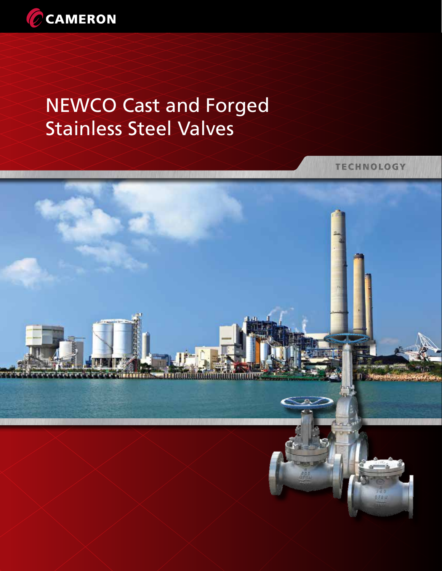

# NEWCO Cast and Forged Stainless Steel Valves

**TECHNOLOGY** 

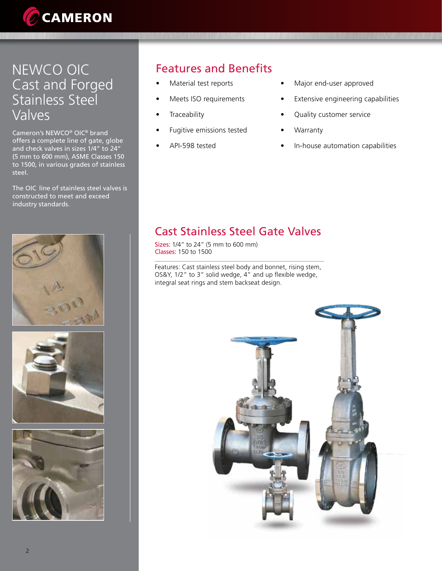

# NEWCO OIC Cast and Forged Stainless Steel Valves

Cameron's NEWCO® OIC® brand offers a complete line of gate, globe and check valves in sizes 1/4" to 24" (5 mm to 600 mm), ASME Classes 150 to 1500, in various grades of stainless steel.

The OIC line of stainless steel valves is constructed to meet and exceed industry standards.







## Features and Benefits

- Material test reports
- Meets ISO requirements
- **Traceability**
- Fugitive emissions tested
- API-598 tested
- Major end-user approved
- Extensive engineering capabilities
- Quality customer service
- Warranty
- In-house automation capabilities

## Cast Stainless Steel Gate Valves

Sizes: 1/4" to 24" (5 mm to 600 mm) Classes: 150 to 1500

Features: Cast stainless steel body and bonnet, rising stem, OS&Y, 1/2" to 3" solid wedge, 4" and up flexible wedge, integral seat rings and stem backseat design.

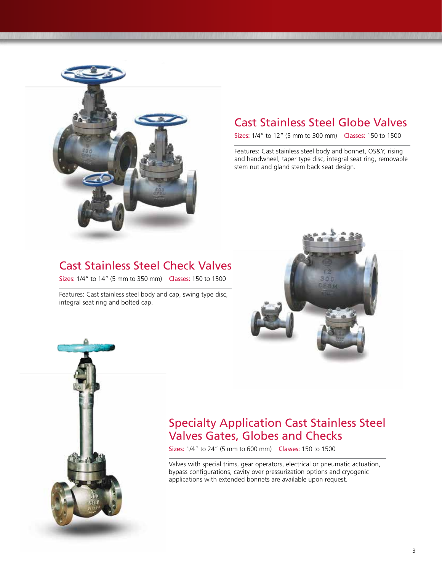

#### Cast Stainless Steel Globe Valves

Sizes: 1/4" to 12" (5 mm to 300 mm) Classes: 150 to 1500

Features: Cast stainless steel body and bonnet, OS&Y, rising and handwheel, taper type disc, integral seat ring, removable stem nut and gland stem back seat design.

#### Cast Stainless Steel Check Valves

Sizes: 1/4" to 14" (5 mm to 350 mm) Classes: 150 to 1500

Features: Cast stainless steel body and cap, swing type disc, integral seat ring and bolted cap.





#### Specialty Application Cast Stainless Steel Valves Gates, Globes and Checks

Sizes: 1/4" to 24" (5 mm to 600 mm) Classes: 150 to 1500

Valves with special trims, gear operators, electrical or pneumatic actuation, bypass configurations, cavity over pressurization options and cryogenic applications with extended bonnets are available upon request.